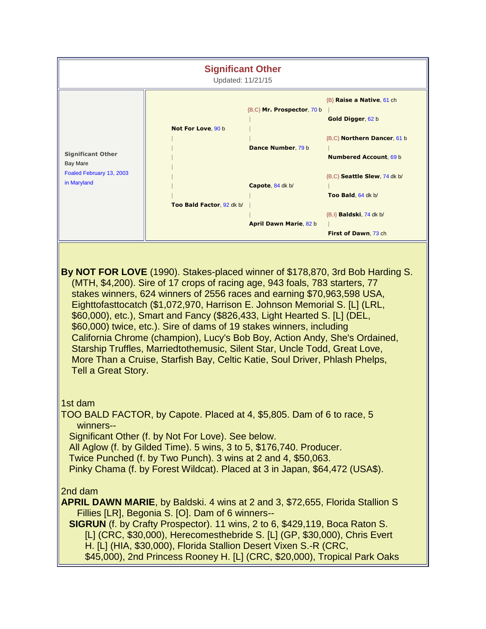| <b>Significant Other</b><br>Updated: 11/21/15                                                                                                                                                                                                                                                                                                                                                                                                                                                                                                                                                                                                                                                                                                      |                           |                               |                                                                      |
|----------------------------------------------------------------------------------------------------------------------------------------------------------------------------------------------------------------------------------------------------------------------------------------------------------------------------------------------------------------------------------------------------------------------------------------------------------------------------------------------------------------------------------------------------------------------------------------------------------------------------------------------------------------------------------------------------------------------------------------------------|---------------------------|-------------------------------|----------------------------------------------------------------------|
| <b>Significant Other</b><br><b>Bay Mare</b><br>Foaled February 13, 2003<br>in Maryland                                                                                                                                                                                                                                                                                                                                                                                                                                                                                                                                                                                                                                                             | Not For Love, 90 b        | {B,C} Mr. Prospector, 70 b    | <b>B</b> Raise a Native, 61 ch<br>Gold Digger, 62 b                  |
|                                                                                                                                                                                                                                                                                                                                                                                                                                                                                                                                                                                                                                                                                                                                                    |                           | Dance Number, 79 b            | {B,C} <b>Northern Dancer</b> , 61 b<br><b>Numbered Account, 69 b</b> |
|                                                                                                                                                                                                                                                                                                                                                                                                                                                                                                                                                                                                                                                                                                                                                    | Too Bald Factor, 92 dk b/ | Capote, 84 dk b/              | {B,C} Seattle Slew, 74 dk b/<br>Too Bald, 64 dk b/                   |
|                                                                                                                                                                                                                                                                                                                                                                                                                                                                                                                                                                                                                                                                                                                                                    |                           | <b>April Dawn Marie, 82 b</b> | {B, l} <b>Baldski</b> , 74 dk b/<br>First of Dawn, 73 ch             |
| By NOT FOR LOVE (1990). Stakes-placed winner of \$178,870, 3rd Bob Harding S.<br>(MTH, \$4,200). Sire of 17 crops of racing age, 943 foals, 783 starters, 77<br>stakes winners, 624 winners of 2556 races and earning \$70,963,598 USA,<br>Eighttofasttocatch (\$1,072,970, Harrison E. Johnson Memorial S. [L] (LRL,<br>\$60,000), etc.), Smart and Fancy (\$826,433, Light Hearted S. [L] (DEL,<br>\$60,000) twice, etc.). Sire of dams of 19 stakes winners, including<br>California Chrome (champion), Lucy's Bob Boy, Action Andy, She's Ordained,<br>Starship Truffles, Marriedtothemusic, Silent Star, Uncle Todd, Great Love,<br>More Than a Cruise, Starfish Bay, Celtic Katie, Soul Driver, Phlash Phelps,<br><b>Tell a Great Story.</b> |                           |                               |                                                                      |
| 1st dam<br>TOO BALD FACTOR, by Capote. Placed at 4, \$5,805. Dam of 6 to race, 5<br>winners--<br>Significant Other (f. by Not For Love). See below.<br>All Aglow (f. by Gilded Time). 5 wins, 3 to 5, \$176,740. Producer.<br>Twice Punched (f. by Two Punch). 3 wins at 2 and 4, \$50,063.<br>Pinky Chama (f. by Forest Wildcat). Placed at 3 in Japan, \$64,472 (USA\$).                                                                                                                                                                                                                                                                                                                                                                         |                           |                               |                                                                      |
| 2nd dam<br>APRIL DAWN MARIE, by Baldski. 4 wins at 2 and 3, \$72,655, Florida Stallion S<br>Fillies [LR], Begonia S. [O]. Dam of 6 winners--<br><b>SIGRUN</b> (f. by Crafty Prospector). 11 wins, 2 to 6, \$429,119, Boca Raton S.<br>[L] (CRC, \$30,000), Herecomesthebride S. [L] (GP, \$30,000), Chris Evert<br>H. [L] (HIA, \$30,000), Florida Stallion Desert Vixen S.-R (CRC,<br>\$45,000), 2nd Princess Rooney H. [L] (CRC, \$20,000), Tropical Park Oaks                                                                                                                                                                                                                                                                                   |                           |                               |                                                                      |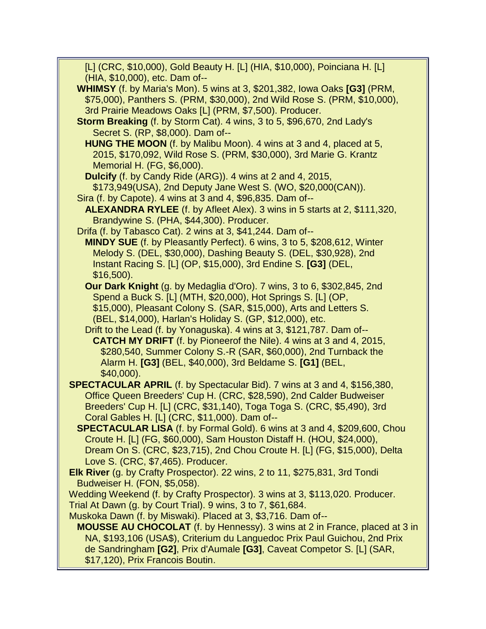[L] (CRC, \$10,000), Gold Beauty H. [L] (HIA, \$10,000), Poinciana H. [L] (HIA, \$10,000), etc. Dam of--

- **WHIMSY** (f. by Maria's Mon). 5 wins at 3, \$201,382, Iowa Oaks **[G3]** (PRM, \$75,000), Panthers S. (PRM, \$30,000), 2nd Wild Rose S. (PRM, \$10,000), 3rd Prairie Meadows Oaks [L] (PRM, \$7,500). Producer.
- **Storm Breaking** (f. by Storm Cat). 4 wins, 3 to 5, \$96,670, 2nd Lady's Secret S. (RP, \$8,000). Dam of--
	- **HUNG THE MOON** (f. by Malibu Moon). 4 wins at 3 and 4, placed at 5, 2015, \$170,092, Wild Rose S. (PRM, \$30,000), 3rd Marie G. Krantz Memorial H. (FG, \$6,000).
	- **Dulcify** (f. by Candy Ride (ARG)). 4 wins at 2 and 4, 2015, \$173,949(USA), 2nd Deputy Jane West S. (WO, \$20,000(CAN)).
- Sira (f. by Capote). 4 wins at 3 and 4, \$96,835. Dam of-- **ALEXANDRA RYLEE** (f. by Afleet Alex). 3 wins in 5 starts at 2, \$111,320, Brandywine S. (PHA, \$44,300). Producer.
- Drifa (f. by Tabasco Cat). 2 wins at 3, \$41,244. Dam of--
	- **MINDY SUE** (f. by Pleasantly Perfect). 6 wins, 3 to 5, \$208,612, Winter Melody S. (DEL, \$30,000), Dashing Beauty S. (DEL, \$30,928), 2nd Instant Racing S. [L] (OP, \$15,000), 3rd Endine S. **[G3]** (DEL, \$16,500).
	- **Our Dark Knight** (g. by Medaglia d'Oro). 7 wins, 3 to 6, \$302,845, 2nd Spend a Buck S. [L] (MTH, \$20,000), Hot Springs S. [L] (OP, \$15,000), Pleasant Colony S. (SAR, \$15,000), Arts and Letters S. (BEL, \$14,000), Harlan's Holiday S. (GP, \$12,000), etc.
	- Drift to the Lead (f. by Yonaguska). 4 wins at 3, \$121,787. Dam of-- **CATCH MY DRIFT** (f. by Pioneerof the Nile). 4 wins at 3 and 4, 2015, \$280,540, Summer Colony S.-R (SAR, \$60,000), 2nd Turnback the Alarm H. **[G3]** (BEL, \$40,000), 3rd Beldame S. **[G1]** (BEL, \$40,000).
- **SPECTACULAR APRIL** (f. by Spectacular Bid). 7 wins at 3 and 4, \$156,380, Office Queen Breeders' Cup H. (CRC, \$28,590), 2nd Calder Budweiser Breeders' Cup H. [L] (CRC, \$31,140), Toga Toga S. (CRC, \$5,490), 3rd Coral Gables H. [L] (CRC, \$11,000). Dam of--
	- **SPECTACULAR LISA** (f. by Formal Gold). 6 wins at 3 and 4, \$209,600, Chou Croute H. [L] (FG, \$60,000), Sam Houston Distaff H. (HOU, \$24,000), Dream On S. (CRC, \$23,715), 2nd Chou Croute H. [L] (FG, \$15,000), Delta Love S. (CRC, \$7,465). Producer.
- **Elk River** (g. by Crafty Prospector). 22 wins, 2 to 11, \$275,831, 3rd Tondi Budweiser H. (FON, \$5,058).

 Wedding Weekend (f. by Crafty Prospector). 3 wins at 3, \$113,020. Producer. Trial At Dawn (g. by Court Trial). 9 wins, 3 to 7, \$61,684.

Muskoka Dawn (f. by Miswaki). Placed at 3, \$3,716. Dam of--

 **MOUSSE AU CHOCOLAT** (f. by Hennessy). 3 wins at 2 in France, placed at 3 in NA, \$193,106 (USA\$), Criterium du Languedoc Prix Paul Guichou, 2nd Prix de Sandringham **[G2]**, Prix d'Aumale **[G3]**, Caveat Competor S. [L] (SAR, \$17,120), Prix Francois Boutin.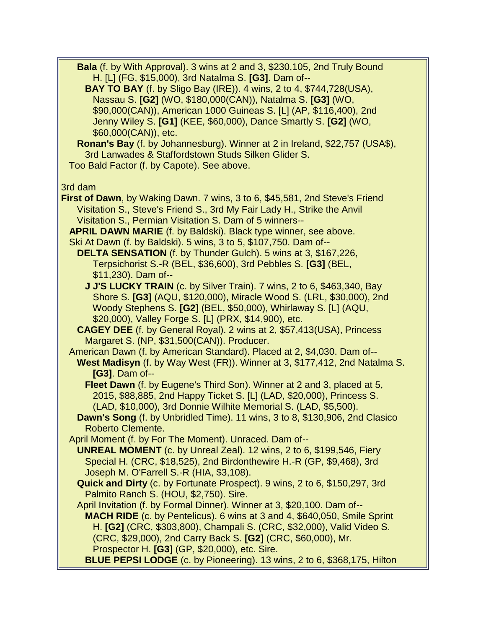**Bala** (f. by With Approval). 3 wins at 2 and 3, \$230,105, 2nd Truly Bound H. [L] (FG, \$15,000), 3rd Natalma S. **[G3]**. Dam of--

 **BAY TO BAY** (f. by Sligo Bay (IRE)). 4 wins, 2 to 4, \$744,728(USA), Nassau S. **[G2]** (WO, \$180,000(CAN)), Natalma S. **[G3]** (WO, \$90,000(CAN)), American 1000 Guineas S. [L] (AP, \$116,400), 2nd Jenny Wiley S. **[G1]** (KEE, \$60,000), Dance Smartly S. **[G2]** (WO, \$60,000(CAN)), etc.

 **Ronan's Bay** (f. by Johannesburg). Winner at 2 in Ireland, \$22,757 (USA\$), 3rd Lanwades & Staffordstown Studs Silken Glider S. Too Bald Factor (f. by Capote). See above.

3rd dam

**First of Dawn**, by Waking Dawn. 7 wins, 3 to 6, \$45,581, 2nd Steve's Friend Visitation S., Steve's Friend S., 3rd My Fair Lady H., Strike the Anvil Visitation S., Permian Visitation S. Dam of 5 winners--

**APRIL DAWN MARIE** (f. by Baldski). Black type winner, see above.

Ski At Dawn (f. by Baldski). 5 wins, 3 to 5, \$107,750. Dam of--

 **DELTA SENSATION** (f. by Thunder Gulch). 5 wins at 3, \$167,226, Terpsichorist S.-R (BEL, \$36,600), 3rd Pebbles S. **[G3]** (BEL, \$11,230). Dam of--

**J J'S LUCKY TRAIN** (c. by Silver Train). 7 wins, 2 to 6, \$463,340, Bay Shore S. **[G3]** (AQU, \$120,000), Miracle Wood S. (LRL, \$30,000), 2nd Woody Stephens S. **[G2]** (BEL, \$50,000), Whirlaway S. [L] (AQU, \$20,000), Valley Forge S. [L] (PRX, \$14,900), etc.

 **CAGEY DEE** (f. by General Royal). 2 wins at 2, \$57,413(USA), Princess Margaret S. (NP, \$31,500(CAN)). Producer.

 American Dawn (f. by American Standard). Placed at 2, \$4,030. Dam of-- **West Madisyn** (f. by Way West (FR)). Winner at 3, \$177,412, 2nd Natalma S. **[G3]**. Dam of--

 **Fleet Dawn** (f. by Eugene's Third Son). Winner at 2 and 3, placed at 5, 2015, \$88,885, 2nd Happy Ticket S. [L] (LAD, \$20,000), Princess S. (LAD, \$10,000), 3rd Donnie Wilhite Memorial S. (LAD, \$5,500).

 **Dawn's Song** (f. by Unbridled Time). 11 wins, 3 to 8, \$130,906, 2nd Clasico Roberto Clemente.

April Moment (f. by For The Moment). Unraced. Dam of--

 **UNREAL MOMENT** (c. by Unreal Zeal). 12 wins, 2 to 6, \$199,546, Fiery Special H. (CRC, \$18,525), 2nd Birdonthewire H.-R (GP, \$9,468), 3rd Joseph M. O'Farrell S.-R (HIA, \$3,108).

 **Quick and Dirty** (c. by Fortunate Prospect). 9 wins, 2 to 6, \$150,297, 3rd Palmito Ranch S. (HOU, \$2,750). Sire.

 April Invitation (f. by Formal Dinner). Winner at 3, \$20,100. Dam of-- **MACH RIDE** (c. by Pentelicus). 6 wins at 3 and 4, \$640,050, Smile Sprint H. **[G2]** (CRC, \$303,800), Champali S. (CRC, \$32,000), Valid Video S. (CRC, \$29,000), 2nd Carry Back S. **[G2]** (CRC, \$60,000), Mr. Prospector H. **[G3]** (GP, \$20,000), etc. Sire.

**BLUE PEPSI LODGE** (c. by Pioneering). 13 wins, 2 to 6, \$368,175, Hilton